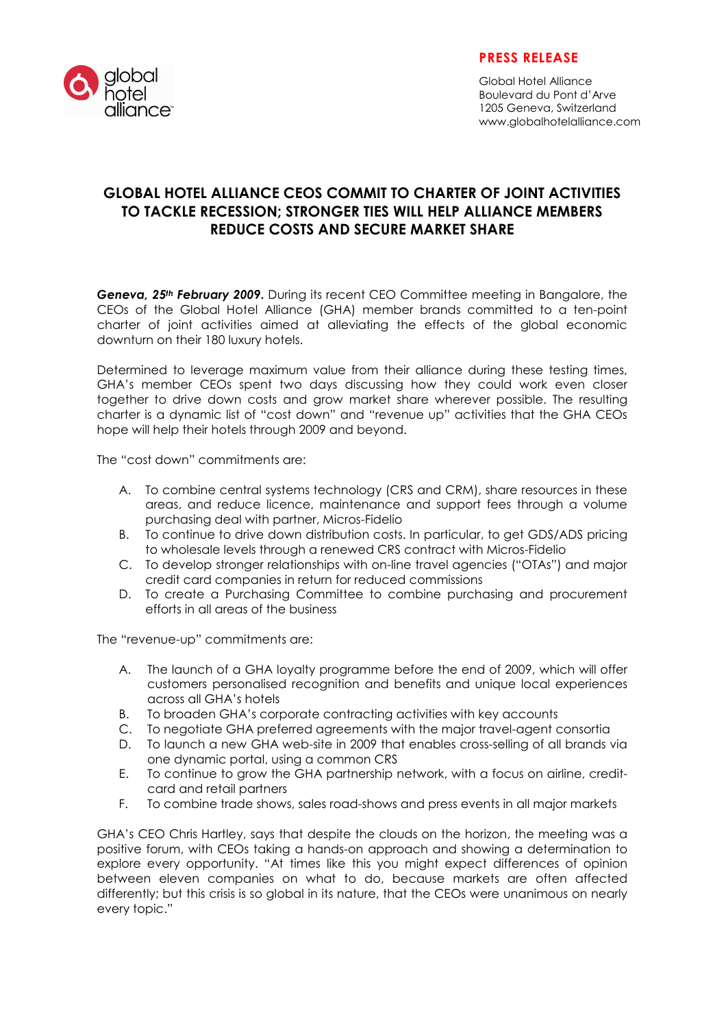

## PRESS RELEASE

Global Hotel Alliance Boulevard du Pont d'Arve 1205 Geneva, Switzerland www.globalhotelalliance.com

## GLOBAL HOTEL ALLIANCE CEOS COMMIT TO CHARTER OF JOINT ACTIVITIES TO TACKLE RECESSION; STRONGER TIES WILL HELP ALLIANCE MEMBERS REDUCE COSTS AND SECURE MARKET SHARE

Geneva, 25<sup>th</sup> February 2009. During its recent CEO Committee meeting in Bangalore, the CEOs of the Global Hotel Alliance (GHA) member brands committed to a ten-point charter of joint activities aimed at alleviating the effects of the global economic downturn on their 180 luxury hotels.

Determined to leverage maximum value from their alliance during these testing times, GHA's member CEOs spent two days discussing how they could work even closer together to drive down costs and grow market share wherever possible. The resulting charter is a dynamic list of "cost down" and "revenue up" activities that the GHA CEOs hope will help their hotels through 2009 and beyond.

The "cost down" commitments are:

- A. To combine central systems technology (CRS and CRM), share resources in these areas, and reduce licence, maintenance and support fees through a volume purchasing deal with partner, Micros-Fidelio
- B. To continue to drive down distribution costs. In particular, to get GDS/ADS pricing to wholesale levels through a renewed CRS contract with Micros-Fidelio
- C. To develop stronger relationships with on-line travel agencies ("OTAs") and major credit card companies in return for reduced commissions
- D. To create a Purchasing Committee to combine purchasing and procurement efforts in all areas of the business

The "revenue-up" commitments are:

- A. The launch of a GHA loyalty programme before the end of 2009, which will offer customers personalised recognition and benefits and unique local experiences across all GHA's hotels
- B. To broaden GHA's corporate contracting activities with key accounts
- C. To negotiate GHA preferred agreements with the major travel-agent consortia
- D. To launch a new GHA web-site in 2009 that enables cross-selling of all brands via one dynamic portal, using a common CRS
- E. To continue to grow the GHA partnership network, with a focus on airline, creditcard and retail partners
- F. To combine trade shows, sales road-shows and press events in all major markets

GHA's CEO Chris Hartley, says that despite the clouds on the horizon, the meeting was a positive forum, with CEOs taking a hands-on approach and showing a determination to explore every opportunity. "At times like this you might expect differences of opinion between eleven companies on what to do, because markets are often affected differently; but this crisis is so global in its nature, that the CEOs were unanimous on nearly every topic."